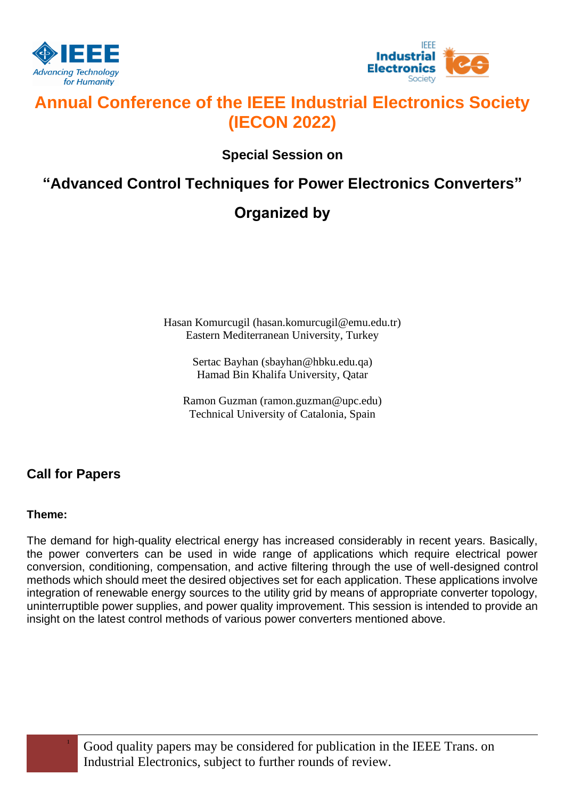



# **Annual Conference of the IEEE Industrial Electronics Society (IECON 2022)**

**Special Session on**

# **"Advanced Control Techniques for Power Electronics Converters"**

# **Organized by**

Hasan Komurcugil (hasan.komurcugil@emu.edu.tr) Eastern Mediterranean University, Turkey

> Sertac Bayhan (sbayhan@hbku.edu.qa) Hamad Bin Khalifa University, Qatar

Ramon Guzman (ramon.guzman@upc.edu) Technical University of Catalonia, Spain

## **Call for Papers**

### **Theme:**

The demand for high-quality electrical energy has increased considerably in recent years. Basically, the power converters can be used in wide range of applications which require electrical power conversion, conditioning, compensation, and active filtering through the use of well-designed control methods which should meet the desired objectives set for each application. These applications involve integration of renewable energy sources to the utility grid by means of appropriate converter topology, uninterruptible power supplies, and power quality improvement. This session is intended to provide an insight on the latest control methods of various power converters mentioned above.